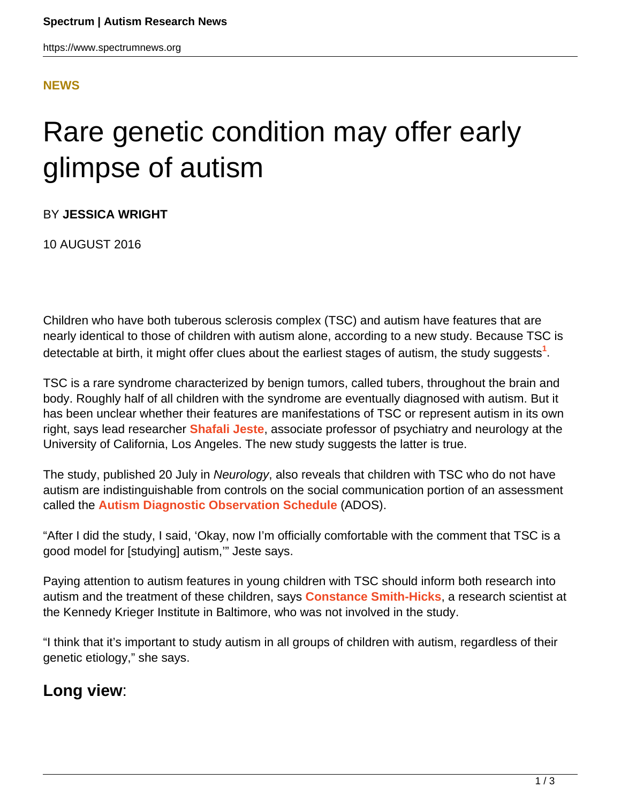#### **[NEWS](HTTPS://WWW.SPECTRUMNEWS.ORG/NEWS/)**

# Rare genetic condition may offer early glimpse of autism

BY **JESSICA WRIGHT**

10 AUGUST 2016

Children who have both tuberous sclerosis complex (TSC) and autism have features that are nearly identical to those of children with autism alone, according to a new study. Because TSC is detectable at birth, it might offer clues about the earliest stages of autism, the study suggests**<sup>1</sup>** .

TSC is a rare syndrome characterized by benign tumors, called tubers, throughout the brain and body. Roughly half of all children with the syndrome are eventually diagnosed with autism. But it has been unclear whether their features are manifestations of TSC or represent autism in its own right, says lead researcher **[Shafali Jeste](http://jestelab.org/)**, associate professor of psychiatry and neurology at the University of California, Los Angeles. The new study suggests the latter is true.

The study, published 20 July in Neurology, also reveals that children with TSC who do not have autism are indistinguishable from controls on the social communication portion of an assessment called the **[Autism Diagnostic Observation Schedule](http://www.wpspublish.com/store/p/2648/autism-diagnostic-observation-schedule-second-edition-ados-2)** (ADOS).

"After I did the study, I said, 'Okay, now I'm officially comfortable with the comment that TSC is a good model for [studying] autism,'" Jeste says.

Paying attention to autism features in young children with TSC should inform both research into autism and the treatment of these children, says **[Constance Smith-Hicks](https://www.kennedykrieger.org/patient-care/faculty-staff/constance-smith-hicks)**, a research scientist at the Kennedy Krieger Institute in Baltimore, who was not involved in the study.

"I think that it's important to study autism in all groups of children with autism, regardless of their genetic etiology," she says.

### **Long view**: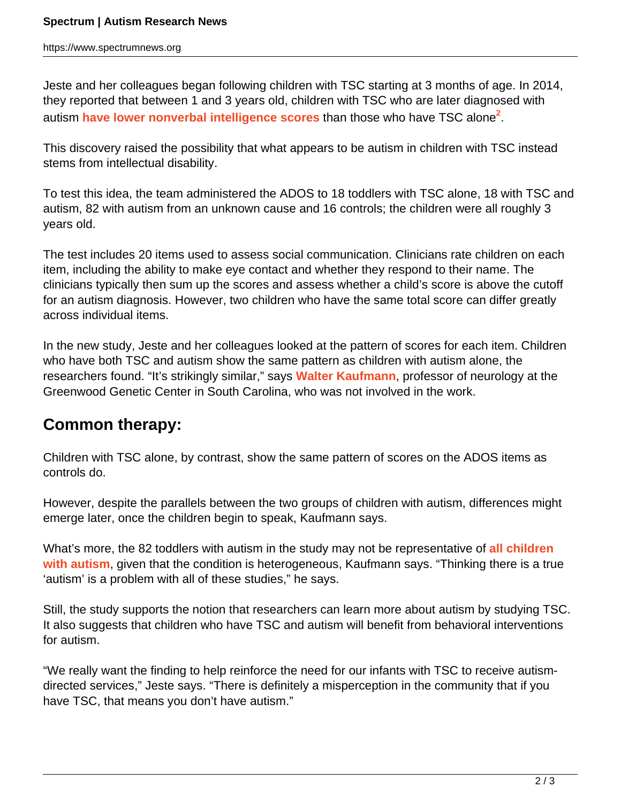Jeste and her colleagues began following children with TSC starting at 3 months of age. In 2014, they reported that between 1 and 3 years old, children with TSC who are later diagnosed with autism **[have lower nonverbal intelligence scores](https://www.spectrumnews.org/news/distinct-features-signal-autism-risk-in-tuberous-sclerosis/)** than those who have TSC alone**<sup>2</sup>** .

This discovery raised the possibility that what appears to be autism in children with TSC instead stems from intellectual disability.

To test this idea, the team administered the ADOS to 18 toddlers with TSC alone, 18 with TSC and autism, 82 with autism from an unknown cause and 16 controls; the children were all roughly 3 years old.

The test includes 20 items used to assess social communication. Clinicians rate children on each item, including the ability to make eye contact and whether they respond to their name. The clinicians typically then sum up the scores and assess whether a child's score is above the cutoff for an autism diagnosis. However, two children who have the same total score can differ greatly across individual items.

In the new study, Jeste and her colleagues looked at the pattern of scores for each item. Children who have both TSC and autism show the same pattern as children with autism alone, the researchers found. "It's strikingly similar," says **[Walter Kaufmann](http://www.ggc.org/about/faculty/research-faculty/treatment-faculty/walter-e-kaufmann,-md.html)**, professor of neurology at the Greenwood Genetic Center in South Carolina, who was not involved in the work.

## **Common therapy:**

Children with TSC alone, by contrast, show the same pattern of scores on the ADOS items as controls do.

However, despite the parallels between the two groups of children with autism, differences might emerge later, once the children begin to speak, Kaufmann says.

What's more, the 82 toddlers with autism in the study may not be representative of **[all children](https://www.spectrumnews.org/news/an-overdue-query-in-autism-science-what-exactly-is-autism/) [with autism](https://www.spectrumnews.org/news/an-overdue-query-in-autism-science-what-exactly-is-autism/)**, given that the condition is heterogeneous, Kaufmann says. "Thinking there is a true 'autism' is a problem with all of these studies," he says.

Still, the study supports the notion that researchers can learn more about autism by studying TSC. It also suggests that children who have TSC and autism will benefit from behavioral interventions for autism.

"We really want the finding to help reinforce the need for our infants with TSC to receive autismdirected services," Jeste says. "There is definitely a misperception in the community that if you have TSC, that means you don't have autism."